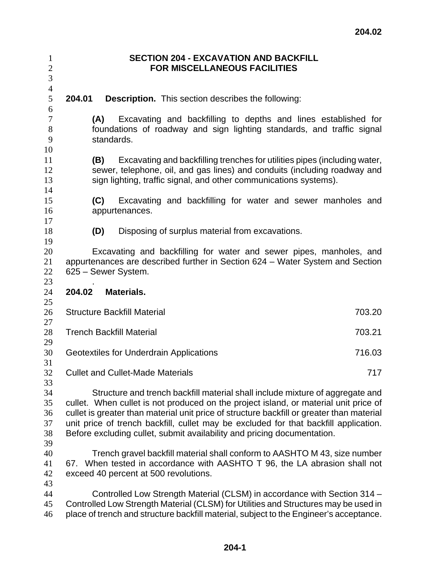| $\mathbf{1}$<br>$\sqrt{2}$<br>3        |                                                                                                                                                                                                                                                                                                                                                                                                                                       |                                                                                                                                                                                                                                                           | <b>SECTION 204 - EXCAVATION AND BACKFILL</b><br><b>FOR MISCELLANEOUS FACILITIES</b> |  |  |  |        |        |
|----------------------------------------|---------------------------------------------------------------------------------------------------------------------------------------------------------------------------------------------------------------------------------------------------------------------------------------------------------------------------------------------------------------------------------------------------------------------------------------|-----------------------------------------------------------------------------------------------------------------------------------------------------------------------------------------------------------------------------------------------------------|-------------------------------------------------------------------------------------|--|--|--|--------|--------|
| $\overline{4}$<br>$\mathfrak s$        | 204.01                                                                                                                                                                                                                                                                                                                                                                                                                                | <b>Description.</b> This section describes the following:                                                                                                                                                                                                 |                                                                                     |  |  |  |        |        |
| 6<br>7<br>8<br>9<br>10                 | (A)                                                                                                                                                                                                                                                                                                                                                                                                                                   | foundations of roadway and sign lighting standards, and traffic signal<br>standards.                                                                                                                                                                      | Excavating and backfilling to depths and lines established for                      |  |  |  |        |        |
| 11<br>12<br>13<br>14                   | (B)                                                                                                                                                                                                                                                                                                                                                                                                                                   | sewer, telephone, oil, and gas lines) and conduits (including roadway and<br>sign lighting, traffic signal, and other communications systems).                                                                                                            | Excavating and backfilling trenches for utilities pipes (including water,           |  |  |  |        |        |
| 15<br>16<br>17                         | (C)                                                                                                                                                                                                                                                                                                                                                                                                                                   | appurtenances.                                                                                                                                                                                                                                            | Excavating and backfilling for water and sewer manholes and                         |  |  |  |        |        |
| 18<br>19                               | (D)                                                                                                                                                                                                                                                                                                                                                                                                                                   |                                                                                                                                                                                                                                                           | Disposing of surplus material from excavations.                                     |  |  |  |        |        |
| 20<br>21<br>22<br>23                   |                                                                                                                                                                                                                                                                                                                                                                                                                                       | Excavating and backfilling for water and sewer pipes, manholes, and<br>appurtenances are described further in Section 624 – Water System and Section<br>625 - Sewer System.                                                                               |                                                                                     |  |  |  |        |        |
| 24                                     | 204.02                                                                                                                                                                                                                                                                                                                                                                                                                                | Materials.                                                                                                                                                                                                                                                |                                                                                     |  |  |  |        |        |
| 25<br>26                               |                                                                                                                                                                                                                                                                                                                                                                                                                                       | <b>Structure Backfill Material</b>                                                                                                                                                                                                                        |                                                                                     |  |  |  |        | 703.20 |
| 27<br>28                               |                                                                                                                                                                                                                                                                                                                                                                                                                                       | <b>Trench Backfill Material</b>                                                                                                                                                                                                                           |                                                                                     |  |  |  | 703.21 |        |
| 29<br>30                               |                                                                                                                                                                                                                                                                                                                                                                                                                                       | 716.03<br>Geotextiles for Underdrain Applications                                                                                                                                                                                                         |                                                                                     |  |  |  |        |        |
| 31<br>32                               |                                                                                                                                                                                                                                                                                                                                                                                                                                       | <b>Cullet and Cullet-Made Materials</b>                                                                                                                                                                                                                   |                                                                                     |  |  |  | 717    |        |
| 33<br>34<br>35<br>36<br>37<br>38<br>39 | Structure and trench backfill material shall include mixture of aggregate and<br>cullet. When cullet is not produced on the project island, or material unit price of<br>cullet is greater than material unit price of structure backfill or greater than material<br>unit price of trench backfill, cullet may be excluded for that backfill application.<br>Before excluding cullet, submit availability and pricing documentation. |                                                                                                                                                                                                                                                           |                                                                                     |  |  |  |        |        |
| 40<br>41<br>42                         |                                                                                                                                                                                                                                                                                                                                                                                                                                       | Trench gravel backfill material shall conform to AASHTO M 43, size number<br>67. When tested in accordance with AASHTO T 96, the LA abrasion shall not<br>exceed 40 percent at 500 revolutions.                                                           |                                                                                     |  |  |  |        |        |
| 43<br>44<br>45<br>46                   |                                                                                                                                                                                                                                                                                                                                                                                                                                       | Controlled Low Strength Material (CLSM) in accordance with Section 314 -<br>Controlled Low Strength Material (CLSM) for Utilities and Structures may be used in<br>place of trench and structure backfill material, subject to the Engineer's acceptance. |                                                                                     |  |  |  |        |        |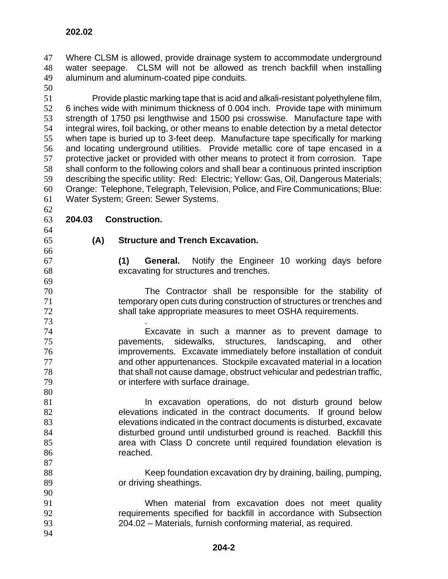Where CLSM is allowed, provide drainage system to accommodate underground water seepage. CLSM will not be allowed as trench backfill when installing aluminum and aluminum-coated pipe conduits.

Provide plastic marking tape that is acid and alkali-resistant polyethylene film, 6 inches wide with minimum thickness of 0.004 inch. Provide tape with minimum strength of 1750 psi lengthwise and 1500 psi crosswise. Manufacture tape with integral wires, foil backing, or other means to enable detection by a metal detector when tape is buried up to 3-feet deep. Manufacture tape specifically for marking and locating underground utilities. Provide metallic core of tape encased in a protective jacket or provided with other means to protect it from corrosion. Tape shall conform to the following colors and shall bear a continuous printed inscription describing the specific utility: Red: Electric; Yellow: Gas, Oil, Dangerous Materials; Orange: Telephone, Telegraph, Television, Police, and Fire Communications; Blue: Water System; Green: Sewer Systems.

**202.02** 

## **204.03 Construction.**

**(A) Structure and Trench Excavation.** 

**(1) General.** Notify the Engineer 10 working days before excavating for structures and trenches.

- The Contractor shall be responsible for the stability of temporary open cuts during construction of structures or trenches and shall take appropriate measures to meet OSHA requirements.
- . Excavate in such a manner as to prevent damage to pavements, sidewalks, structures, landscaping, and other improvements. Excavate immediately before installation of conduit and other appurtenances. Stockpile excavated material in a location that shall not cause damage, obstruct vehicular and pedestrian traffic, or interfere with surface drainage.
- **In excavation operations, do not disturb ground below** elevations indicated in the contract documents. If ground below elevations indicated in the contract documents is disturbed, excavate disturbed ground until undisturbed ground is reached. Backfill this area with Class D concrete until required foundation elevation is reached.
- Keep foundation excavation dry by draining, bailing, pumping, or driving sheathings.
- When material from excavation does not meet quality requirements specified for backfill in accordance with Subsection 204.02 – Materials, furnish conforming material, as required.
-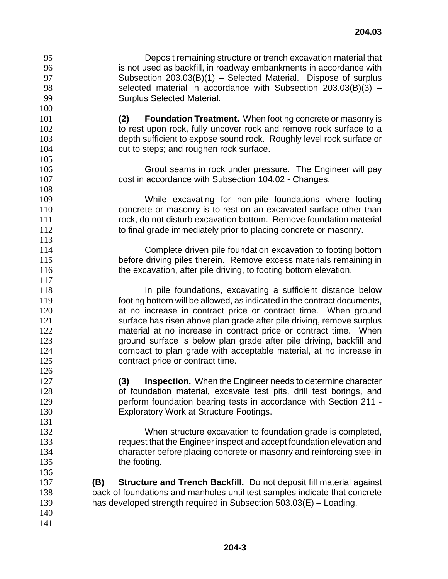Deposit remaining structure or trench excavation material that is not used as backfill, in roadway embankments in accordance with Subsection 203.03(B)(1) – Selected Material. Dispose of surplus selected material in accordance with Subsection 203.03(B)(3) – Surplus Selected Material. **(2) Foundation Treatment.** When footing concrete or masonry is 102 to rest upon rock, fully uncover rock and remove rock surface to a depth sufficient to expose sound rock. Roughly level rock surface or 104 cut to steps; and roughen rock surface. Grout seams in rock under pressure. The Engineer will pay 107 cost in accordance with Subsection 104.02 - Changes. While excavating for non-pile foundations where footing concrete or masonry is to rest on an excavated surface other than rock, do not disturb excavation bottom. Remove foundation material 112 to final grade immediately prior to placing concrete or masonry. Complete driven pile foundation excavation to footing bottom before driving piles therein. Remove excess materials remaining in 116 the excavation, after pile driving, to footing bottom elevation. **In pile foundations, excavating a sufficient distance below** footing bottom will be allowed, as indicated in the contract documents, **at no increase in contract price or contract time.** When ground 121 surface has risen above plan grade after pile driving, remove surplus 122 material at no increase in contract price or contract time. When ground surface is below plan grade after pile driving, backfill and compact to plan grade with acceptable material, at no increase in 125 contract price or contract time. **(3) Inspection.** When the Engineer needs to determine character of foundation material, excavate test pits, drill test borings, and perform foundation bearing tests in accordance with Section 211 - Exploratory Work at Structure Footings. When structure excavation to foundation grade is completed, request that the Engineer inspect and accept foundation elevation and character before placing concrete or masonry and reinforcing steel in 135 the footing. **(B) Structure and Trench Backfill.** Do not deposit fill material against back of foundations and manholes until test samples indicate that concrete has developed strength required in Subsection 503.03(E) – Loading.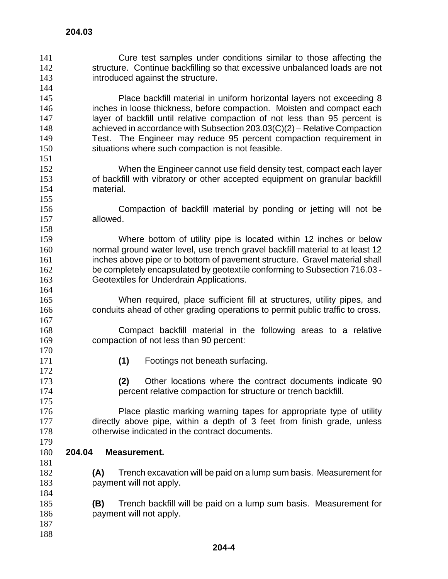Cure test samples under conditions similar to those affecting the 142 structure. Continue backfilling so that excessive unbalanced loads are not introduced against the structure. Place backfill material in uniform horizontal layers not exceeding 8 146 inches in loose thickness, before compaction. Moisten and compact each layer of backfill until relative compaction of not less than 95 percent is achieved in accordance with Subsection 203.03(C)(2) – Relative Compaction Test. The Engineer may reduce 95 percent compaction requirement in situations where such compaction is not feasible. When the Engineer cannot use field density test, compact each layer of backfill with vibratory or other accepted equipment on granular backfill material. Compaction of backfill material by ponding or jetting will not be allowed. Where bottom of utility pipe is located within 12 inches or below normal ground water level, use trench gravel backfill material to at least 12 inches above pipe or to bottom of pavement structure. Gravel material shall be completely encapsulated by geotextile conforming to Subsection 716.03 - Geotextiles for Underdrain Applications. When required, place sufficient fill at structures, utility pipes, and conduits ahead of other grading operations to permit public traffic to cross. Compact backfill material in the following areas to a relative compaction of not less than 90 percent: **(1)** Footings not beneath surfacing. **(2)** Other locations where the contract documents indicate 90 percent relative compaction for structure or trench backfill. Place plastic marking warning tapes for appropriate type of utility 177 directly above pipe, within a depth of 3 feet from finish grade, unless otherwise indicated in the contract documents. **204.03 204.04 Measurement. (A)** Trench excavation will be paid on a lump sum basis. Measurement for payment will not apply. **(B)** Trench backfill will be paid on a lump sum basis. Measurement for payment will not apply.